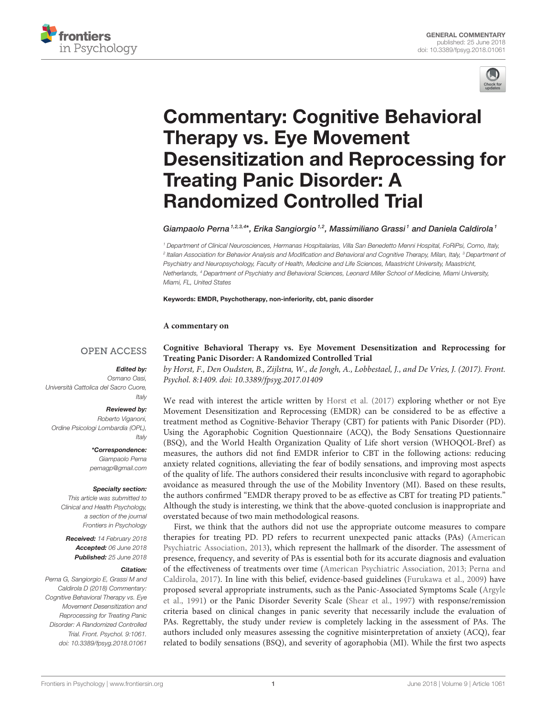



# Commentary: Cognitive Behavioral Therapy vs. Eye Movement [Desensitization and Reprocessing for](https://www.frontiersin.org/articles/10.3389/fpsyg.2018.01061/full) Treating Panic Disorder: A Randomized Controlled Trial

[Giampaolo Perna](http://loop.frontiersin.org/people/43213/overview) 1,2,3,4\*, [Erika Sangiorgio](http://loop.frontiersin.org/people/527615/overview) 1,2, [Massimiliano Grassi](http://loop.frontiersin.org/people/527619/overview) 1 and [Daniela Caldirola](http://loop.frontiersin.org/people/527612/overview) 1

<sup>1</sup> Department of Clinical Neurosciences, Hermanas Hospitalarias, Villa San Benedetto Menni Hospital, FoRiPsi, Como, Italy, <sup>2</sup> Italian Association for Behavior Analysis and Modification and Behavioral and Cognitive Therapy, Milan, Italy, <sup>3</sup> Department oi Psychiatry and Neuropsychology, Faculty of Health, Medicine and Life Sciences, Maastricht University, Maastricht, Netherlands, <sup>4</sup> Department of Psychiatry and Behavioral Sciences, Leonard Miller School of Medicine, Miami University, Miami, FL, United States

Keywords: EMDR, Psychotherapy, non-inferiority, cbt, panic disorder

### **A commentary on**

## **OPEN ACCESS**

#### Edited by:

Osmano Oasi, Università Cattolica del Sacro Cuore, Italy

#### Reviewed by:

Roberto Viganoni, Ordine Psicologi Lombardia (OPL), Italy

> \*Correspondence: Giampaolo Perna [pernagp@gmail.com](mailto:pernagp@gmail.com)

#### Specialty section:

This article was submitted to Clinical and Health Psychology, a section of the journal Frontiers in Psychology

Received: 14 February 2018 Accepted: 06 June 2018 Published: 25 June 2018

#### Citation:

Perna G, Sangiorgio E, Grassi M and Caldirola D (2018) Commentary: Cognitive Behavioral Therapy vs. Eye Movement Desensitization and Reprocessing for Treating Panic Disorder: A Randomized Controlled Trial. Front. Psychol. 9:1061. doi: [10.3389/fpsyg.2018.01061](https://doi.org/10.3389/fpsyg.2018.01061) **[Cognitive Behavioral Therapy vs. Eye Movement Desensitization and Reprocessing for](https://doi.org/10.3389/fpsyg.2017.01409) Treating Panic Disorder: A Randomized Controlled Trial**

by Horst, F., Den Oudsten, B., Zijlstra, W., de Jongh, A., Lobbestael, J., and De Vries, J. (2017). Front. Psychol. 8:1409. doi: [10.3389/fpsyg.2017.01409](https://doi.org/10.3389/fpsyg.2017.01409)

We read with interest the article written by [Horst et al. \(2017\)](#page-1-0) exploring whether or not Eye Movement Desensitization and Reprocessing (EMDR) can be considered to be as effective a treatment method as Cognitive-Behavior Therapy (CBT) for patients with Panic Disorder (PD). Using the Agoraphobic Cognition Questionnaire (ACQ), the Body Sensations Questionnaire (BSQ), and the World Health Organization Quality of Life short version (WHOQOL-Bref) as measures, the authors did not find EMDR inferior to CBT in the following actions: reducing anxiety related cognitions, alleviating the fear of bodily sensations, and improving most aspects of the quality of life. The authors considered their results inconclusive with regard to agoraphobic avoidance as measured through the use of the Mobility Inventory (MI). Based on these results, the authors confirmed "EMDR therapy proved to be as effective as CBT for treating PD patients." Although the study is interesting, we think that the above-quoted conclusion is inappropriate and overstated because of two main methodological reasons.

First, we think that the authors did not use the appropriate outcome measures to compare therapies for treating PD. PD refers to recurrent unexpected panic attacks (PAs) (American Psychiatric Association, [2013\)](#page-1-1), which represent the hallmark of the disorder. The assessment of presence, frequency, and severity of PAs is essential both for its accurate diagnosis and evaluation of the effectiveness of treatments over time [\(American Psychiatric Association, 2013;](#page-1-1) Perna and Caldirola, [2017\)](#page-1-2). In line with this belief, evidence-based guidelines [\(Furukawa et al., 2009\)](#page-1-3) have proposed several appropriate instruments, such as the Panic-Associated Symptoms Scale (Argyle et al., [1991\)](#page-1-4) or the Panic Disorder Severity Scale [\(Shear et al., 1997\)](#page-1-5) with response/remission criteria based on clinical changes in panic severity that necessarily include the evaluation of PAs. Regrettably, the study under review is completely lacking in the assessment of PAs. The authors included only measures assessing the cognitive misinterpretation of anxiety (ACQ), fear related to bodily sensations (BSQ), and severity of agoraphobia (MI). While the first two aspects